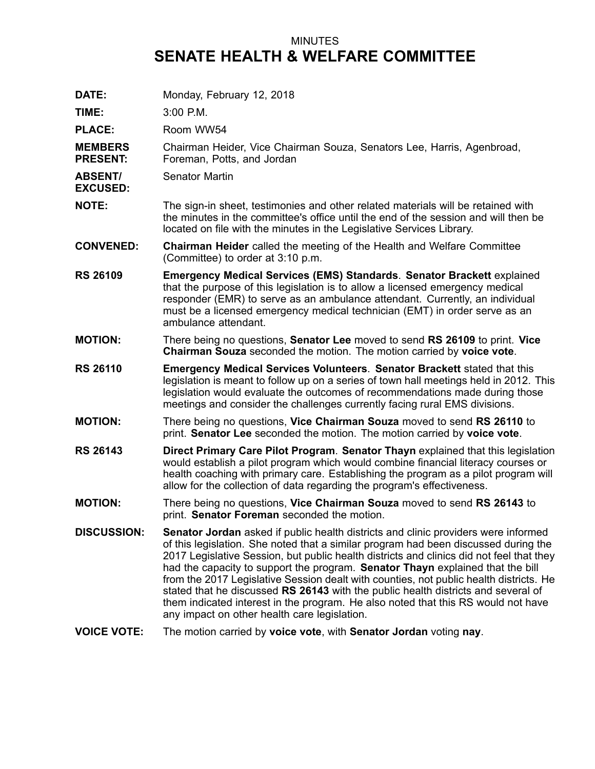## MINUTES **SENATE HEALTH & WELFARE COMMITTEE**

| DATE:                             | Monday, February 12, 2018                                                                                                                                                                                                                                                                                                                                                                                                                                                                                                                                                                                                                                                          |
|-----------------------------------|------------------------------------------------------------------------------------------------------------------------------------------------------------------------------------------------------------------------------------------------------------------------------------------------------------------------------------------------------------------------------------------------------------------------------------------------------------------------------------------------------------------------------------------------------------------------------------------------------------------------------------------------------------------------------------|
| TIME:                             | 3:00 P.M.                                                                                                                                                                                                                                                                                                                                                                                                                                                                                                                                                                                                                                                                          |
| <b>PLACE:</b>                     | Room WW54                                                                                                                                                                                                                                                                                                                                                                                                                                                                                                                                                                                                                                                                          |
| <b>MEMBERS</b><br><b>PRESENT:</b> | Chairman Heider, Vice Chairman Souza, Senators Lee, Harris, Agenbroad,<br>Foreman, Potts, and Jordan                                                                                                                                                                                                                                                                                                                                                                                                                                                                                                                                                                               |
| <b>ABSENT/</b><br><b>EXCUSED:</b> | Senator Martin                                                                                                                                                                                                                                                                                                                                                                                                                                                                                                                                                                                                                                                                     |
| <b>NOTE:</b>                      | The sign-in sheet, testimonies and other related materials will be retained with<br>the minutes in the committee's office until the end of the session and will then be<br>located on file with the minutes in the Legislative Services Library.                                                                                                                                                                                                                                                                                                                                                                                                                                   |
| <b>CONVENED:</b>                  | <b>Chairman Heider</b> called the meeting of the Health and Welfare Committee<br>(Committee) to order at 3:10 p.m.                                                                                                                                                                                                                                                                                                                                                                                                                                                                                                                                                                 |
| <b>RS 26109</b>                   | <b>Emergency Medical Services (EMS) Standards. Senator Brackett explained</b><br>that the purpose of this legislation is to allow a licensed emergency medical<br>responder (EMR) to serve as an ambulance attendant. Currently, an individual<br>must be a licensed emergency medical technician (EMT) in order serve as an<br>ambulance attendant.                                                                                                                                                                                                                                                                                                                               |
| <b>MOTION:</b>                    | There being no questions, Senator Lee moved to send RS 26109 to print. Vice<br>Chairman Souza seconded the motion. The motion carried by voice vote.                                                                                                                                                                                                                                                                                                                                                                                                                                                                                                                               |
| <b>RS 26110</b>                   | <b>Emergency Medical Services Volunteers. Senator Brackett stated that this</b><br>legislation is meant to follow up on a series of town hall meetings held in 2012. This<br>legislation would evaluate the outcomes of recommendations made during those<br>meetings and consider the challenges currently facing rural EMS divisions.                                                                                                                                                                                                                                                                                                                                            |
| <b>MOTION:</b>                    | There being no questions, Vice Chairman Souza moved to send RS 26110 to<br>print. Senator Lee seconded the motion. The motion carried by voice vote.                                                                                                                                                                                                                                                                                                                                                                                                                                                                                                                               |
| <b>RS 26143</b>                   | Direct Primary Care Pilot Program. Senator Thayn explained that this legislation<br>would establish a pilot program which would combine financial literacy courses or<br>health coaching with primary care. Establishing the program as a pilot program will<br>allow for the collection of data regarding the program's effectiveness.                                                                                                                                                                                                                                                                                                                                            |
| <b>MOTION:</b>                    | There being no questions, Vice Chairman Souza moved to send RS 26143 to<br>print. Senator Foreman seconded the motion.                                                                                                                                                                                                                                                                                                                                                                                                                                                                                                                                                             |
| <b>DISCUSSION:</b>                | <b>Senator Jordan</b> asked if public health districts and clinic providers were informed<br>of this legislation. She noted that a similar program had been discussed during the<br>2017 Legislative Session, but public health districts and clinics did not feel that they<br>had the capacity to support the program. Senator Thayn explained that the bill<br>from the 2017 Legislative Session dealt with counties, not public health districts. He<br>stated that he discussed RS 26143 with the public health districts and several of<br>them indicated interest in the program. He also noted that this RS would not have<br>any impact on other health care legislation. |
| <b>VOICE VOTE:</b>                | The motion carried by voice vote, with Senator Jordan voting nay.                                                                                                                                                                                                                                                                                                                                                                                                                                                                                                                                                                                                                  |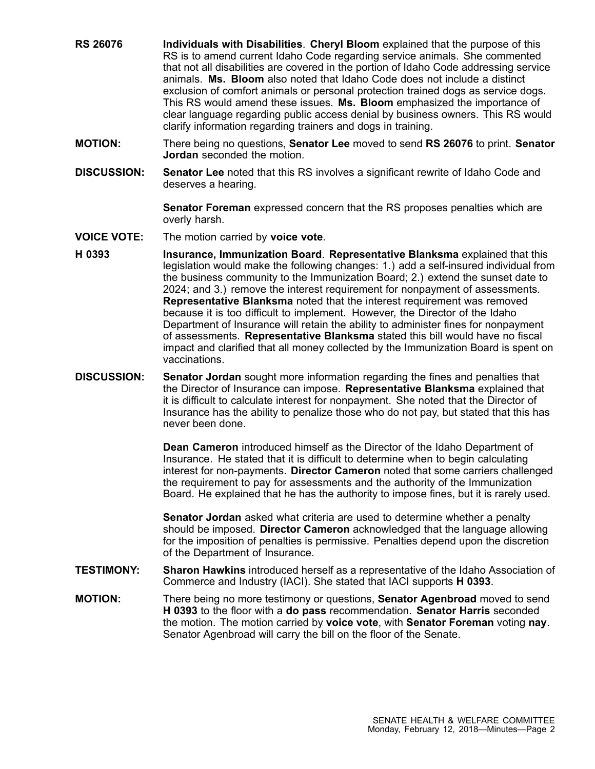- **RS 26076 Individuals with Disabilities**. **Cheryl Bloom** explained that the purpose of this RS is to amend current Idaho Code regarding service animals. She commented that not all disabilities are covered in the portion of Idaho Code addressing service animals. **Ms. Bloom** also noted that Idaho Code does not include a distinct exclusion of comfort animals or personal protection trained dogs as service dogs. This RS would amend these issues. **Ms. Bloom** emphasized the importance of clear language regarding public access denial by business owners. This RS would clarify information regarding trainers and dogs in training.
- **MOTION:** There being no questions, **Senator Lee** moved to send **RS 26076** to print. **Senator Jordan** seconded the motion.
- **DISCUSSION: Senator Lee** noted that this RS involves <sup>a</sup> significant rewrite of Idaho Code and deserves <sup>a</sup> hearing.

**Senator Foreman** expressed concern that the RS proposes penalties which are overly harsh.

- **VOICE VOTE:** The motion carried by **voice vote**.
- **H 0393 Insurance, Immunization Board**. **Representative Blanksma** explained that this legislation would make the following changes: 1.) add <sup>a</sup> self-insured individual from the business community to the Immunization Board; 2.) extend the sunset date to 2024; and 3.) remove the interest requirement for nonpayment of assessments. **Representative Blanksma** noted that the interest requirement was removed because it is too difficult to implement. However, the Director of the Idaho Department of Insurance will retain the ability to administer fines for nonpayment of assessments. **Representative Blanksma** stated this bill would have no fiscal impact and clarified that all money collected by the Immunization Board is spent on vaccinations.
- **DISCUSSION: Senator Jordan** sought more information regarding the fines and penalties that the Director of Insurance can impose. **Representative Blanksma** explained that it is difficult to calculate interest for nonpayment. She noted that the Director of Insurance has the ability to penalize those who do not pay, but stated that this has never been done.

**Dean Cameron** introduced himself as the Director of the Idaho Department of Insurance. He stated that it is difficult to determine when to begin calculating interest for non-payments. **Director Cameron** noted that some carriers challenged the requirement to pay for assessments and the authority of the Immunization Board. He explained that he has the authority to impose fines, but it is rarely used.

**Senator Jordan** asked what criteria are used to determine whether <sup>a</sup> penalty should be imposed. **Director Cameron** acknowledged that the language allowing for the imposition of penalties is permissive. Penalties depend upon the discretion of the Department of Insurance.

- **TESTIMONY: Sharon Hawkins** introduced herself as <sup>a</sup> representative of the Idaho Association of Commerce and Industry (IACI). She stated that IACI supports **H 0393**.
- **MOTION:** There being no more testimony or questions, **Senator Agenbroad** moved to send **H 0393** to the floor with <sup>a</sup> **do pass** recommendation. **Senator Harris** seconded the motion. The motion carried by **voice vote**, with **Senator Foreman** voting **nay**. Senator Agenbroad will carry the bill on the floor of the Senate.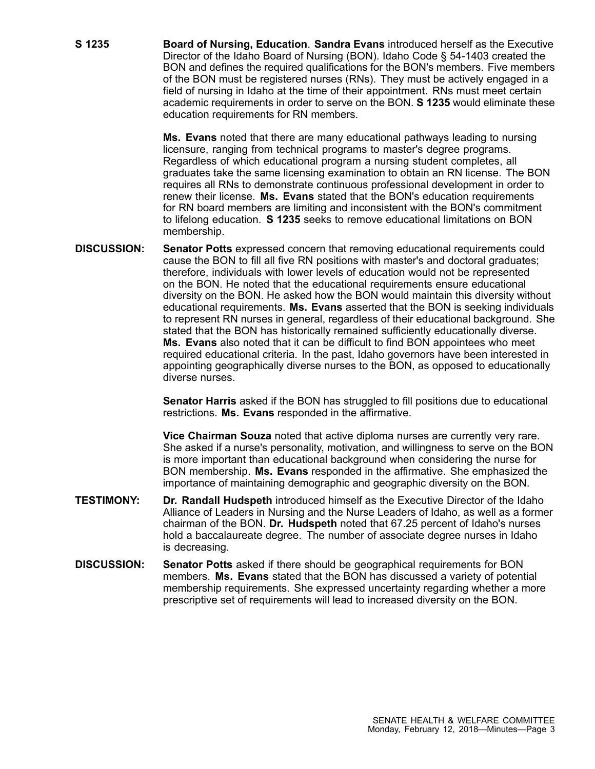**S 1235 Board of Nursing, Education**. **Sandra Evans** introduced herself as the Executive Director of the Idaho Board of Nursing (BON). Idaho Code § 54-1403 created the BON and defines the required qualifications for the BON's members. Five members of the BON must be registered nurses (RNs). They must be actively engaged in <sup>a</sup> field of nursing in Idaho at the time of their appointment. RNs must meet certain academic requirements in order to serve on the BON. **S 1235** would eliminate these education requirements for RN members.

> **Ms. Evans** noted that there are many educational pathways leading to nursing licensure, ranging from technical programs to master's degree programs. Regardless of which educational program <sup>a</sup> nursing student completes, all graduates take the same licensing examination to obtain an RN license. The BON requires all RNs to demonstrate continuous professional development in order to renew their license. **Ms. Evans** stated that the BON's education requirements for RN board members are limiting and inconsistent with the BON's commitment to lifelong education. **S 1235** seeks to remove educational limitations on BON membership.

**DISCUSSION: Senator Potts** expressed concern that removing educational requirements could cause the BON to fill all five RN positions with master's and doctoral graduates; therefore, individuals with lower levels of education would not be represented on the BON. He noted that the educational requirements ensure educational diversity on the BON. He asked how the BON would maintain this diversity without educational requirements. **Ms. Evans** asserted that the BON is seeking individuals to represent RN nurses in general, regardless of their educational background. She stated that the BON has historically remained sufficiently educationally diverse. **Ms. Evans** also noted that it can be difficult to find BON appointees who meet required educational criteria. In the past, Idaho governors have been interested in appointing geographically diverse nurses to the BON, as opposed to educationally diverse nurses.

> **Senator Harris** asked if the BON has struggled to fill positions due to educational restrictions. **Ms. Evans** responded in the affirmative.

**Vice Chairman Souza** noted that active diploma nurses are currently very rare. She asked if <sup>a</sup> nurse's personality, motivation, and willingness to serve on the BON is more important than educational background when considering the nurse for BON membership. **Ms. Evans** responded in the affirmative. She emphasized the importance of maintaining demographic and geographic diversity on the BON.

- **TESTIMONY: Dr. Randall Hudspeth** introduced himself as the Executive Director of the Idaho Alliance of Leaders in Nursing and the Nurse Leaders of Idaho, as well as <sup>a</sup> former chairman of the BON. **Dr. Hudspeth** noted that 67.25 percent of Idaho's nurses hold <sup>a</sup> baccalaureate degree. The number of associate degree nurses in Idaho is decreasing.
- **DISCUSSION: Senator Potts** asked if there should be geographical requirements for BON members. **Ms. Evans** stated that the BON has discussed <sup>a</sup> variety of potential membership requirements. She expressed uncertainty regarding whether <sup>a</sup> more prescriptive set of requirements will lead to increased diversity on the BON.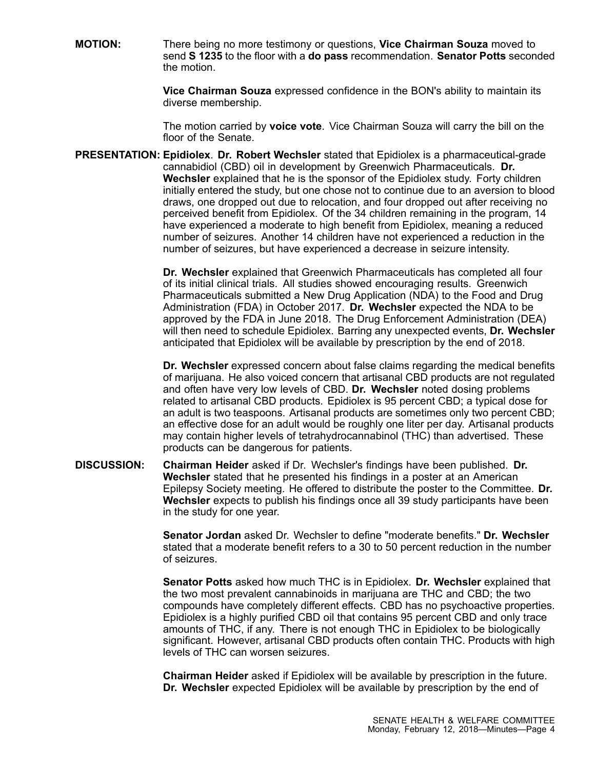**MOTION:** There being no more testimony or questions, **Vice Chairman Souza** moved to send **S 1235** to the floor with <sup>a</sup> **do pass** recommendation. **Senator Potts** seconded the motion.

> **Vice Chairman Souza** expressed confidence in the BON's ability to maintain its diverse membership.

> The motion carried by **voice vote**. Vice Chairman Souza will carry the bill on the floor of the Senate.

**PRESENTATION: Epidiolex**. **Dr. Robert Wechsler** stated that Epidiolex is <sup>a</sup> pharmaceutical-grade cannabidiol (CBD) oil in development by Greenwich Pharmaceuticals. **Dr. Wechsler** explained that he is the sponsor of the Epidiolex study. Forty children initially entered the study, but one chose not to continue due to an aversion to blood draws, one dropped out due to relocation, and four dropped out after receiving no perceived benefit from Epidiolex. Of the 34 children remaining in the program, 14 have experienced <sup>a</sup> moderate to high benefit from Epidiolex, meaning <sup>a</sup> reduced number of seizures. Another 14 children have not experienced <sup>a</sup> reduction in the number of seizures, but have experienced <sup>a</sup> decrease in seizure intensity.

> **Dr. Wechsler** explained that Greenwich Pharmaceuticals has completed all four of its initial clinical trials. All studies showed encouraging results. Greenwich Pharmaceuticals submitted <sup>a</sup> New Drug Application (NDA) to the Food and Drug Administration (FDA) in October 2017. **Dr. Wechsler** expected the NDA to be approved by the FDA in June 2018. The Drug Enforcement Administration (DEA) will then need to schedule Epidiolex. Barring any unexpected events, **Dr. Wechsler** anticipated that Epidiolex will be available by prescription by the end of 2018.

> **Dr. Wechsler** expressed concern about false claims regarding the medical benefits of marijuana. He also voiced concern that artisanal CBD products are not regulated and often have very low levels of CBD. **Dr. Wechsler** noted dosing problems related to artisanal CBD products. Epidiolex is 95 percent CBD; <sup>a</sup> typical dose for an adult is two teaspoons. Artisanal products are sometimes only two percent CBD; an effective dose for an adult would be roughly one liter per day. Artisanal products may contain higher levels of tetrahydrocannabinol (THC) than advertised. These products can be dangerous for patients.

**DISCUSSION: Chairman Heider** asked if Dr. Wechsler's findings have been published. **Dr. Wechsler** stated that he presented his findings in <sup>a</sup> poster at an American Epilepsy Society meeting. He offered to distribute the poster to the Committee. **Dr. Wechsler** expects to publish his findings once all 39 study participants have been in the study for one year.

> **Senator Jordan** asked Dr. Wechsler to define "moderate benefits." **Dr. Wechsler** stated that <sup>a</sup> moderate benefit refers to <sup>a</sup> 30 to 50 percent reduction in the number of seizures.

> **Senator Potts** asked how much THC is in Epidiolex. **Dr. Wechsler** explained that the two most prevalent cannabinoids in marijuana are THC and CBD; the two compounds have completely different effects. CBD has no psychoactive properties. Epidiolex is <sup>a</sup> highly purified CBD oil that contains 95 percent CBD and only trace amounts of THC, if any. There is not enough THC in Epidiolex to be biologically significant. However, artisanal CBD products often contain THC. Products with high levels of THC can worsen seizures.

**Chairman Heider** asked if Epidiolex will be available by prescription in the future. **Dr. Wechsler** expected Epidiolex will be available by prescription by the end of